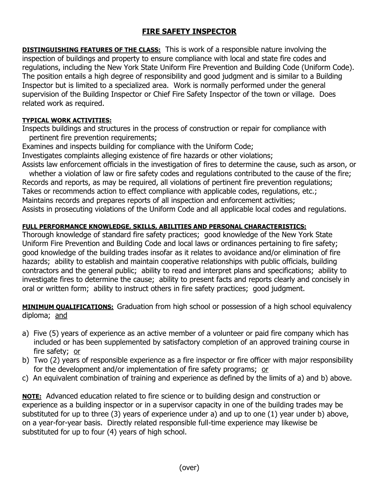## **FIRE SAFETY INSPECTOR**

**DISTINGUISHING FEATURES OF THE CLASS:** This is work of a responsible nature involving the inspection of buildings and property to ensure compliance with local and state fire codes and regulations, including the New York State Uniform Fire Prevention and Building Code (Uniform Code). The position entails a high degree of responsibility and good judgment and is similar to a Building Inspector but is limited to a specialized area. Work is normally performed under the general supervision of the Building Inspector or Chief Fire Safety Inspector of the town or village. Does related work as required.

## **TYPICAL WORK ACTIVITIES:**

Inspects buildings and structures in the process of construction or repair for compliance with pertinent fire prevention requirements;

Examines and inspects building for compliance with the Uniform Code;

Investigates complaints alleging existence of fire hazards or other violations;

Assists law enforcement officials in the investigation of fires to determine the cause, such as arson, or whether a violation of law or fire safety codes and regulations contributed to the cause of the fire; Records and reports, as may be required, all violations of pertinent fire prevention regulations; Takes or recommends action to effect compliance with applicable codes, regulations, etc.; Maintains records and prepares reports of all inspection and enforcement activities; Assists in prosecuting violations of the Uniform Code and all applicable local codes and regulations.

## **FULL PERFORMANCE KNOWLEDGE, SKILLS, ABILITIES AND PERSONAL CHARACTERISTICS:**

Thorough knowledge of standard fire safety practices; good knowledge of the New York State Uniform Fire Prevention and Building Code and local laws or ordinances pertaining to fire safety; good knowledge of the building trades insofar as it relates to avoidance and/or elimination of fire hazards; ability to establish and maintain cooperative relationships with public officials, building contractors and the general public; ability to read and interpret plans and specifications; ability to investigate fires to determine the cause; ability to present facts and reports clearly and concisely in oral or written form; ability to instruct others in fire safety practices; good judgment.

**MINIMUM QUALIFICATIONS:** Graduation from high school or possession of a high school equivalency diploma; and

- a) Five (5) years of experience as an active member of a volunteer or paid fire company which has included or has been supplemented by satisfactory completion of an approved training course in fire safety; or
- b) Two (2) years of responsible experience as a fire inspector or fire officer with major responsibility for the development and/or implementation of fire safety programs; or
- c) An equivalent combination of training and experience as defined by the limits of a) and b) above.

**NOTE:** Advanced education related to fire science or to building design and construction or experience as a building inspector or in a supervisor capacity in one of the building trades may be substituted for up to three (3) years of experience under a) and up to one (1) year under b) above, on a year-for-year basis. Directly related responsible full-time experience may likewise be substituted for up to four (4) years of high school.